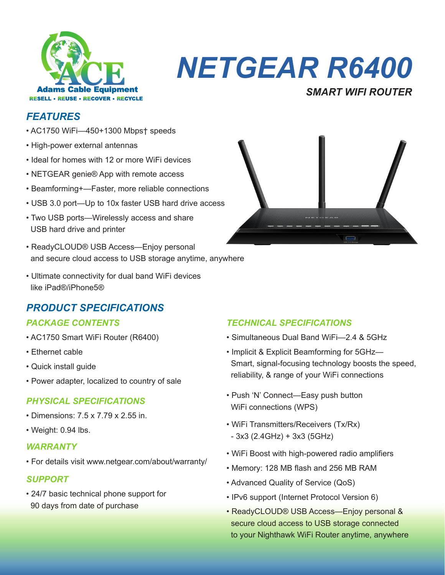

# *NETGEAR R6400*

# *FEATURES*

- AC1750 WiFi—450+1300 Mbps† speeds
- High-power external antennas
- Ideal for homes with 12 or more WiFi devices
- NETGEAR genie® App with remote access
- Beamforming+—Faster, more reliable connections
- USB 3.0 port—Up to 10x faster USB hard drive access
- Two USB ports—Wirelessly access and share USB hard drive and printer
- ReadyCLOUD® USB Access—Enjoy personal and secure cloud access to USB storage anytime, anywhere
- Ultimate connectivity for dual band WiFi devices like iPad®/iPhone5®

# *PRODUCT SPECIFICATIONS*

- AC1750 Smart WiFi Router (R6400)
- Ethernet cable
- Quick install guide
- Power adapter, localized to country of sale

### *PHYSICAL SPECIFICATIONS*

- Dimensions: 7.5 x 7.79 x 2.55 in.
- Weight: 0.94 lbs.

#### *WARRANTY*

• For details visit www.netgear.com/about/warranty/

#### *SUPPORT*

• 24/7 basic technical phone support for 90 days from date of purchase



*SMART WIFI ROUTER*

## *PACKAGE CONTENTS TECHNICAL SPECIFICATIONS*

- Simultaneous Dual Band WiFi—2.4 & 5GHz
- Implicit & Explicit Beamforming for 5GHz— Smart, signal-focusing technology boosts the speed, reliability, & range of your WiFi connections
- Push 'N' Connect—Easy push button WiFi connections (WPS)
- WiFi Transmitters/Receivers (Tx/Rx) - 3x3 (2.4GHz) + 3x3 (5GHz)
- WiFi Boost with high-powered radio amplifiers
- Memory: 128 MB flash and 256 MB RAM
- Advanced Quality of Service (QoS)
- IPv6 support (Internet Protocol Version 6)
- ReadyCLOUD® USB Access—Enjoy personal & secure cloud access to USB storage connected to your Nighthawk WiFi Router anytime, anywhere